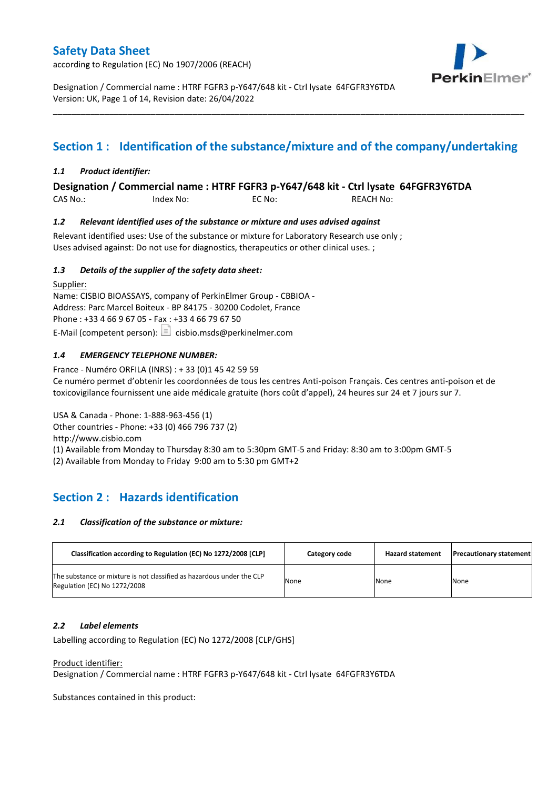according to Regulation (EC) No 1907/2006 (REACH)



Designation / Commercial name : HTRF FGFR3 p-Y647/648 kit - Ctrl lysate 64FGFR3Y6TDA Version: UK, Page 1 of 14, Revision date: 26/04/2022

# **Section 1 : Identification of the substance/mixture and of the company/undertaking**

\_\_\_\_\_\_\_\_\_\_\_\_\_\_\_\_\_\_\_\_\_\_\_\_\_\_\_\_\_\_\_\_\_\_\_\_\_\_\_\_\_\_\_\_\_\_\_\_\_\_\_\_\_\_\_\_\_\_\_\_\_\_\_\_\_\_\_\_\_\_\_\_\_\_\_\_\_\_\_\_\_\_\_\_\_\_\_\_\_\_\_\_\_\_\_\_\_\_\_\_\_

### *1.1 Product identifier:*

**Designation / Commercial name : HTRF FGFR3 p-Y647/648 kit - Ctrl lysate 64FGFR3Y6TDA** 

CAS No.: Index No: EC No: REACH No:

### *1.2 Relevant identified uses of the substance or mixture and uses advised against*

Relevant identified uses: Use of the substance or mixture for Laboratory Research use only ; Uses advised against: Do not use for diagnostics, therapeutics or other clinical uses. ;

### *1.3 Details of the supplier of the safety data sheet:*

Supplier: Name: CISBIO BIOASSAYS, company of PerkinElmer Group - CBBIOA - Address: Parc Marcel Boiteux - BP 84175 - 30200 Codolet, France Phone : +33 4 66 9 67 05 - Fax : +33 4 66 79 67 50 E-Mail (competent person):  $\boxed{\equiv}$  cisbio.msds@perkinelmer.com

### *1.4 EMERGENCY TELEPHONE NUMBER:*

France - Numéro ORFILA (INRS) : + 33 (0)1 45 42 59 59 Ce numéro permet d'obtenir les coordonnées de tous les centres Anti-poison Français. Ces centres anti-poison et de toxicovigilance fournissent une aide médicale gratuite (hors coût d'appel), 24 heures sur 24 et 7 jours sur 7.

USA & Canada - Phone: 1-888-963-456 (1)

Other countries - Phone: +33 (0) 466 796 737 (2)

http://www.cisbio.com

(1) Available from Monday to Thursday 8:30 am to 5:30pm GMT-5 and Friday: 8:30 am to 3:00pm GMT-5

(2) Available from Monday to Friday 9:00 am to 5:30 pm GMT+2

## **Section 2 : Hazards identification**

#### *2.1 Classification of the substance or mixture:*

| Classification according to Regulation (EC) No 1272/2008 [CLP]                                        | Category code | <b>Hazard statement</b> | <b>Precautionary statement</b> |
|-------------------------------------------------------------------------------------------------------|---------------|-------------------------|--------------------------------|
| The substance or mixture is not classified as hazardous under the CLP<br>Regulation (EC) No 1272/2008 | None          | None                    | None                           |

#### *2.2 Label elements*

Labelling according to Regulation (EC) No 1272/2008 [CLP/GHS]

#### Product identifier:

Designation / Commercial name : HTRF FGFR3 p-Y647/648 kit - Ctrl lysate 64FGFR3Y6TDA

Substances contained in this product: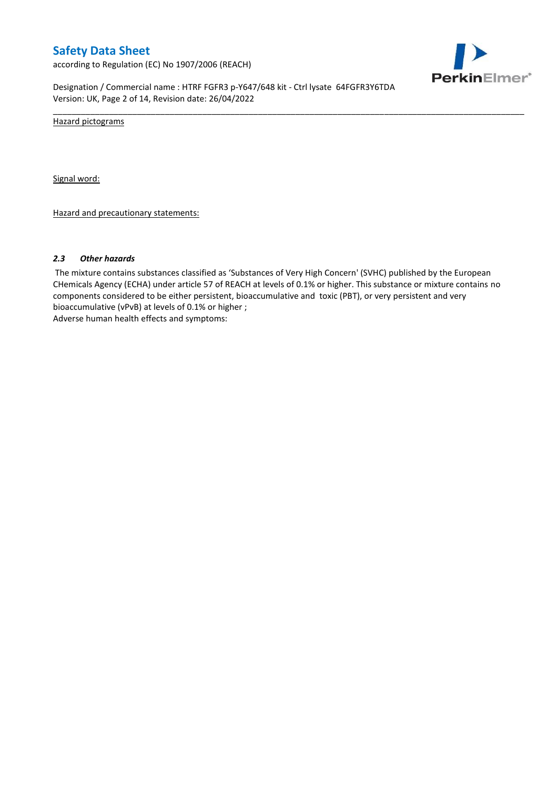according to Regulation (EC) No 1907/2006 (REACH)



Designation / Commercial name : HTRF FGFR3 p-Y647/648 kit - Ctrl lysate 64FGFR3Y6TDA Version: UK, Page 2 of 14, Revision date: 26/04/2022

Hazard pictograms

Signal word:

Hazard and precautionary statements:

#### *2.3 Other hazards*

The mixture contains substances classified as 'Substances of Very High Concern' (SVHC) published by the European CHemicals Agency (ECHA) under article 57 of REACH at levels of 0.1% or higher. This substance or mixture contains no components considered to be either persistent, bioaccumulative and toxic (PBT), or very persistent and very bioaccumulative (vPvB) at levels of 0.1% or higher ; Adverse human health effects and symptoms:

\_\_\_\_\_\_\_\_\_\_\_\_\_\_\_\_\_\_\_\_\_\_\_\_\_\_\_\_\_\_\_\_\_\_\_\_\_\_\_\_\_\_\_\_\_\_\_\_\_\_\_\_\_\_\_\_\_\_\_\_\_\_\_\_\_\_\_\_\_\_\_\_\_\_\_\_\_\_\_\_\_\_\_\_\_\_\_\_\_\_\_\_\_\_\_\_\_\_\_\_\_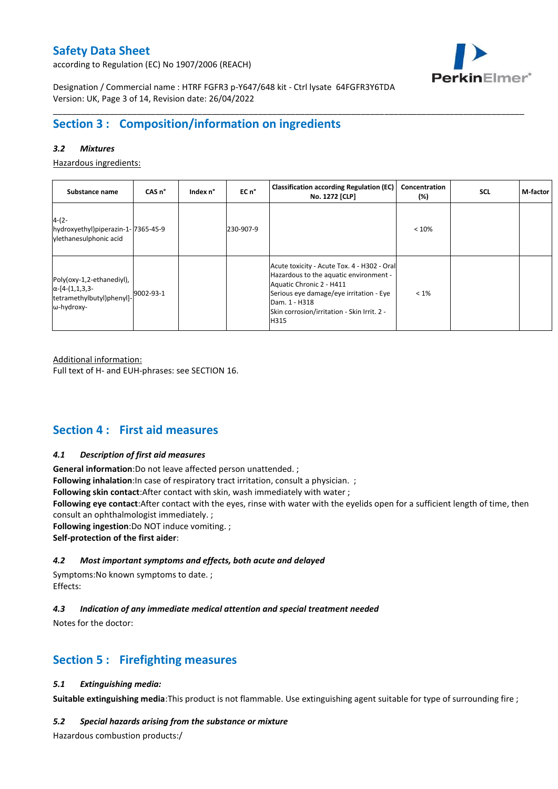according to Regulation (EC) No 1907/2006 (REACH)



Designation / Commercial name : HTRF FGFR3 p-Y647/648 kit - Ctrl lysate 64FGFR3Y6TDA Version: UK, Page 3 of 14, Revision date: 26/04/2022

## **Section 3 : Composition/information on ingredients**

### *3.2 Mixtures*

Hazardous ingredients:

| Substance name                                                                                 | CAS <sub>n</sub> ° | Index n° | EC n°     | <b>Classification according Regulation (EC)</b><br>No. 1272 [CLP]                                                                                                                                                                    | Concentration<br>(%) | <b>SCL</b> | M-factor |
|------------------------------------------------------------------------------------------------|--------------------|----------|-----------|--------------------------------------------------------------------------------------------------------------------------------------------------------------------------------------------------------------------------------------|----------------------|------------|----------|
| $4-(2-$<br>hydroxyethyl)piperazin-1-7365-45-9<br>vlethanesulphonic acid                        |                    |          | 230-907-9 |                                                                                                                                                                                                                                      | < 10%                |            |          |
| Poly(oxy-1,2-ethanediyl),<br>$\alpha$ -[4-(1,1,3,3-<br>tetramethylbutyl)phenyl]-<br>ω-hydroxy- | 9002-93-1          |          |           | Acute toxicity - Acute Tox. 4 - H302 - Oral<br>Hazardous to the aquatic environment -<br>Aquatic Chronic 2 - H411<br>Serious eye damage/eye irritation - Eye<br>Dam. 1 - H318<br>Skin corrosion/irritation - Skin Irrit. 2 -<br>H315 | $< 1\%$              |            |          |

\_\_\_\_\_\_\_\_\_\_\_\_\_\_\_\_\_\_\_\_\_\_\_\_\_\_\_\_\_\_\_\_\_\_\_\_\_\_\_\_\_\_\_\_\_\_\_\_\_\_\_\_\_\_\_\_\_\_\_\_\_\_\_\_\_\_\_\_\_\_\_\_\_\_\_\_\_\_\_\_\_\_\_\_\_\_\_\_\_\_\_\_\_\_\_\_\_\_\_\_\_

Additional information:

Full text of H- and EUH-phrases: see SECTION 16.

## **Section 4 : First aid measures**

#### *4.1 Description of first aid measures*

**General information**:Do not leave affected person unattended. ;

**Following inhalation**: In case of respiratory tract irritation, consult a physician. ;

**Following skin contact**:After contact with skin, wash immediately with water ;

**Following eye contact**:After contact with the eyes, rinse with water with the eyelids open for a sufficient length of time, then consult an ophthalmologist immediately. ;

**Following ingestion**:Do NOT induce vomiting. ;

**Self-protection of the first aider**:

#### *4.2 Most important symptoms and effects, both acute and delayed*

Symptoms:No known symptoms to date. ; Effects:

### *4.3 Indication of any immediate medical attention and special treatment needed*

Notes for the doctor:

## **Section 5 : Firefighting measures**

#### *5.1 Extinguishing media:*

**Suitable extinguishing media**:This product is not flammable. Use extinguishing agent suitable for type of surrounding fire ;

#### *5.2 Special hazards arising from the substance or mixture*

Hazardous combustion products:/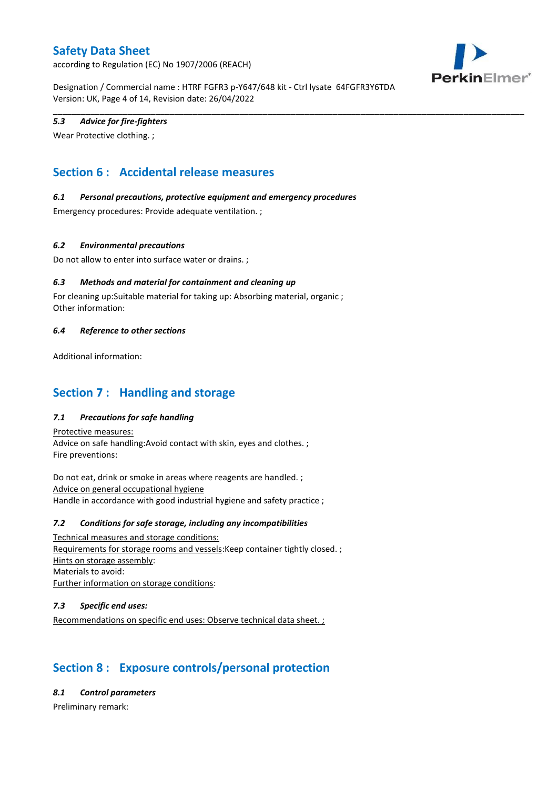according to Regulation (EC) No 1907/2006 (REACH)



Designation / Commercial name : HTRF FGFR3 p-Y647/648 kit - Ctrl lysate 64FGFR3Y6TDA Version: UK, Page 4 of 14, Revision date: 26/04/2022

\_\_\_\_\_\_\_\_\_\_\_\_\_\_\_\_\_\_\_\_\_\_\_\_\_\_\_\_\_\_\_\_\_\_\_\_\_\_\_\_\_\_\_\_\_\_\_\_\_\_\_\_\_\_\_\_\_\_\_\_\_\_\_\_\_\_\_\_\_\_\_\_\_\_\_\_\_\_\_\_\_\_\_\_\_\_\_\_\_\_\_\_\_\_\_\_\_\_\_\_\_

### *5.3 Advice for fire-fighters*

Wear Protective clothing. ;

# **Section 6 : Accidental release measures**

### *6.1 Personal precautions, protective equipment and emergency procedures*

Emergency procedures: Provide adequate ventilation. ;

### *6.2 Environmental precautions*

Do not allow to enter into surface water or drains. ;

### *6.3 Methods and material for containment and cleaning up*

For cleaning up:Suitable material for taking up: Absorbing material, organic ; Other information:

#### *6.4 Reference to other sections*

Additional information:

## **Section 7 : Handling and storage**

### *7.1 Precautions for safe handling*

Protective measures: Advice on safe handling:Avoid contact with skin, eyes and clothes. ; Fire preventions:

Do not eat, drink or smoke in areas where reagents are handled. ; Advice on general occupational hygiene Handle in accordance with good industrial hygiene and safety practice ;

#### *7.2 Conditions for safe storage, including any incompatibilities*

Technical measures and storage conditions: Requirements for storage rooms and vessels:Keep container tightly closed. ; Hints on storage assembly: Materials to avoid: Further information on storage conditions:

#### *7.3 Specific end uses:*

Recommendations on specific end uses: Observe technical data sheet. ;

# **Section 8 : Exposure controls/personal protection**

#### *8.1 Control parameters*

Preliminary remark: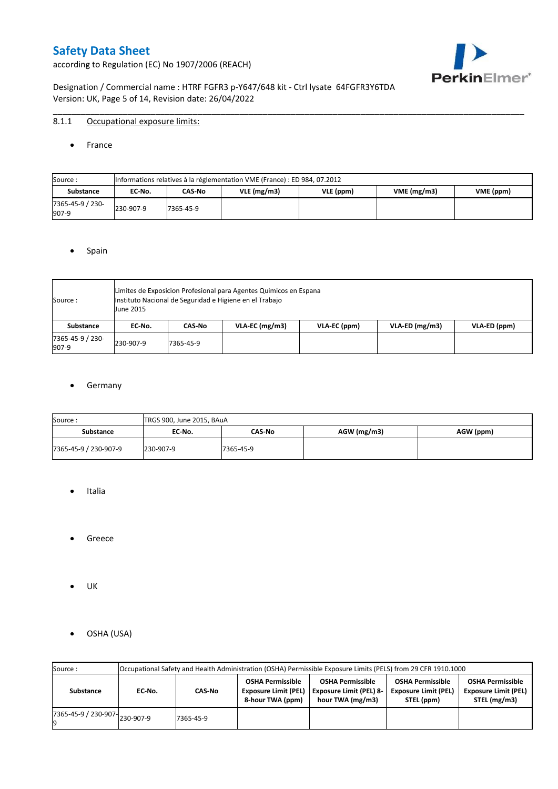according to Regulation (EC) No 1907/2006 (REACH)



Designation / Commercial name : HTRF FGFR3 p-Y647/648 kit - Ctrl lysate 64FGFR3Y6TDA Version: UK, Page 5 of 14, Revision date: 26/04/2022

### 8.1.1 Occupational exposure limits:

• France

| Source:                   |           | Informations relatives à la réglementation VME (France) : ED 984, 07.2012 |               |           |            |           |  |  |  |  |  |  |  |
|---------------------------|-----------|---------------------------------------------------------------------------|---------------|-----------|------------|-----------|--|--|--|--|--|--|--|
| <b>Substance</b>          | EC-No.    | CAS No                                                                    | $VLE$ (mg/m3) | VLE (ppm) | VME(mg/m3) | VME (ppm) |  |  |  |  |  |  |  |
| 7365-45-9 / 230-<br>907-9 | 230-907-9 | 7365-45-9                                                                 |               |           |            |           |  |  |  |  |  |  |  |

\_\_\_\_\_\_\_\_\_\_\_\_\_\_\_\_\_\_\_\_\_\_\_\_\_\_\_\_\_\_\_\_\_\_\_\_\_\_\_\_\_\_\_\_\_\_\_\_\_\_\_\_\_\_\_\_\_\_\_\_\_\_\_\_\_\_\_\_\_\_\_\_\_\_\_\_\_\_\_\_\_\_\_\_\_\_\_\_\_\_\_\_\_\_\_\_\_\_\_\_\_

#### • Spain

| Source:                   | <b>June 2015</b> | Limites de Exposicion Profesional para Agentes Quimicos en Espana<br>Instituto Nacional de Seguridad e Higiene en el Trabajo |                  |              |                  |              |  |  |  |  |  |  |
|---------------------------|------------------|------------------------------------------------------------------------------------------------------------------------------|------------------|--------------|------------------|--------------|--|--|--|--|--|--|
| <b>Substance</b>          | EC No.           | CAS No                                                                                                                       | $VLA-EC$ (mg/m3) | VLA-EC (ppm) | $VLA-ED (mg/m3)$ | VLA-ED (ppm) |  |  |  |  |  |  |
| 7365-45-9 / 230-<br>907-9 | 230-907-9        | 7365-45-9                                                                                                                    |                  |              |                  |              |  |  |  |  |  |  |

### **•** Germany

| Source:               | TRGS 900, June 2015, BAuA |           |               |           |
|-----------------------|---------------------------|-----------|---------------|-----------|
| <b>Substance</b>      | EC No.                    | CAS No    | $AGW$ (mg/m3) | AGW (ppm) |
| 7365-45-9 / 230-907-9 | 230-907-9                 | 7365-45-9 |               |           |

- Italia
- Greece
- UK
- OSHA (USA)

| Source:              |           |           |                                                                            | Occupational Safety and Health Administration (OSHA) Permissible Exposure Limits (PELS) from 29 CFR 1910.1000 |                                                                      |                                                                        |
|----------------------|-----------|-----------|----------------------------------------------------------------------------|---------------------------------------------------------------------------------------------------------------|----------------------------------------------------------------------|------------------------------------------------------------------------|
| Substance            | EC-No.    | CAS-No    | <b>OSHA Permissible</b><br><b>Exposure Limit (PEL)</b><br>8-hour TWA (ppm) | <b>OSHA Permissible</b><br><b>Exposure Limit (PEL) 8-</b><br>hour TWA (mg/m3)                                 | <b>OSHA Permissible</b><br><b>Exposure Limit (PEL)</b><br>STEL (ppm) | <b>OSHA Permissible</b><br><b>Exposure Limit (PEL)</b><br>STEL (mg/m3) |
| 7365-45-9 / 230-907- | 230-907-9 | 7365-45-9 |                                                                            |                                                                                                               |                                                                      |                                                                        |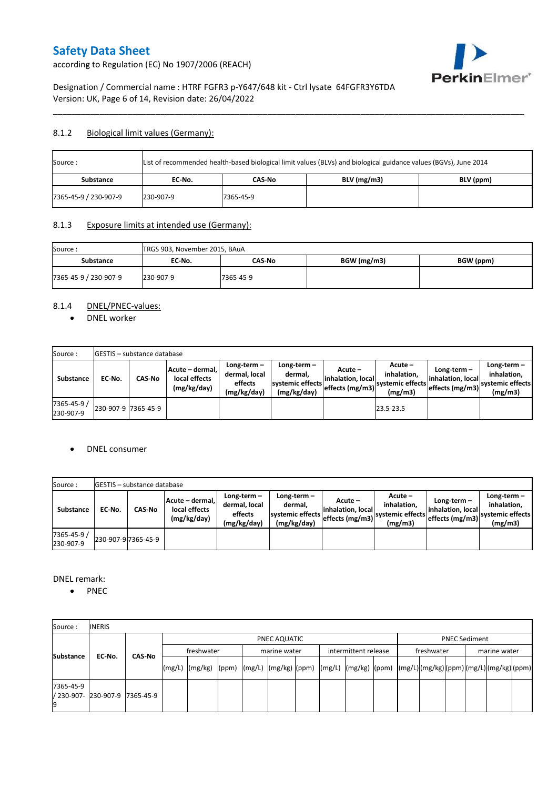PerkinElmer®

according to Regulation (EC) No 1907/2006 (REACH)

Designation / Commercial name : HTRF FGFR3 p-Y647/648 kit - Ctrl lysate 64FGFR3Y6TDA Version: UK, Page 6 of 14, Revision date: 26/04/2022

### 8.1.2 Biological limit values (Germany):

| List of recommended health-based biological limit values (BLVs) and biological guidance values (BGVs), June 2014<br>Source: |           |           |               |           |  |  |  |  |  |
|-----------------------------------------------------------------------------------------------------------------------------|-----------|-----------|---------------|-----------|--|--|--|--|--|
| <b>Substance</b>                                                                                                            | EC No.    | CAS-No    | $BLV$ (mg/m3) | BLV (ppm) |  |  |  |  |  |
| 7365-45-9 / 230-907-9                                                                                                       | 230-907-9 | 7365-45-9 |               |           |  |  |  |  |  |

\_\_\_\_\_\_\_\_\_\_\_\_\_\_\_\_\_\_\_\_\_\_\_\_\_\_\_\_\_\_\_\_\_\_\_\_\_\_\_\_\_\_\_\_\_\_\_\_\_\_\_\_\_\_\_\_\_\_\_\_\_\_\_\_\_\_\_\_\_\_\_\_\_\_\_\_\_\_\_\_\_\_\_\_\_\_\_\_\_\_\_\_\_\_\_\_\_\_\_\_\_

### 8.1.3 Exposure limits at intended use (Germany):

| Source:               | TRGS 903, November 2015, BAuA |           |             |           |
|-----------------------|-------------------------------|-----------|-------------|-----------|
| <b>Substance</b>      | EC No.                        | CAS-No    | BGW (mg/m3) | BGW (ppm) |
| 7365-45-9 / 230-907-9 | 230-907-9                     | 7365-45-9 |             |           |

### 8.1.4 DNEL/PNEC-values:

• DNEL worker

| Source:                  |                     | <b>IGESTIS</b> - substance database |                                                 |                                                          |                                                          |                                                  |                                                       |                                                        |                                                             |
|--------------------------|---------------------|-------------------------------------|-------------------------------------------------|----------------------------------------------------------|----------------------------------------------------------|--------------------------------------------------|-------------------------------------------------------|--------------------------------------------------------|-------------------------------------------------------------|
| Substance                | EC No.              | <b>CAS-No</b>                       | Acute - dermal,<br>local effects<br>(mg/kg/day) | Long-term $-$<br>dermal, local<br>effects<br>(mg/kg/day) | Long-term-<br>dermal.<br>systemic effects<br>(mg/kg/day) | Acute –<br>linhalation. local<br>effects (mg/m3) | Acute -<br>inhalation.<br>systemic effects<br>(mg/m3) | Long-term $-$<br>linhalation. local<br>effects (mg/m3) | Long-term $-$<br>inhalation.<br>systemic effects<br>(mg/m3) |
| 7365-45-9 /<br>230-907-9 | 230-907-9 7365-45-9 |                                     |                                                 |                                                          |                                                          |                                                  | 23.5-23.5                                             |                                                        |                                                             |

### DNEL consumer

| Source:                  |        | <b>IGESTIS - substance database</b> |                                                 |                                                          |                                                          |                                                   |                                                       |                                                        |                                                             |
|--------------------------|--------|-------------------------------------|-------------------------------------------------|----------------------------------------------------------|----------------------------------------------------------|---------------------------------------------------|-------------------------------------------------------|--------------------------------------------------------|-------------------------------------------------------------|
| Substance                | EC-No. | CAS-No                              | Acute - dermal,<br>local effects<br>(mg/kg/day) | Long-term $-$<br>dermal, local<br>effects<br>(mg/kg/day) | Long-term-<br>dermal,<br>systemic effects<br>(mg/kg/day) | Acute –<br>linhalation. locall<br>effects (mg/m3) | Acute -<br>inhalation.<br>systemic effects<br>(mg/m3) | $Long-term -$<br>linhalation. local<br>effects (mg/m3) | Long-term $-$<br>inhalation.<br>systemic effects<br>(mg/m3) |
| 7365-45-9 /<br>230-907-9 |        | 230-907-9 7365-45-9                 |                                                 |                                                          |                                                          |                                                   |                                                       |                                                        |                                                             |

DNEL remark:

• PNEC

| Source:          | <b>INERIS</b>                  |        |                                                                                                                    |  |              |  |                      |  |            |                      |              |  |
|------------------|--------------------------------|--------|--------------------------------------------------------------------------------------------------------------------|--|--------------|--|----------------------|--|------------|----------------------|--------------|--|
|                  |                                |        |                                                                                                                    |  | PNEC AQUATIC |  |                      |  |            | <b>PNEC Sediment</b> |              |  |
| <b>Substance</b> | EC-No.                         | CAS No | freshwater                                                                                                         |  | marine water |  | intermittent release |  | freshwater |                      | marine water |  |
|                  |                                |        | [(mg/L)  (mg/kg)  (ppm)  (mg/L)  (mg/kg)  (ppm)  (mg/L)  (mg/kg)  (ppm)  (mg/L) (mg/kg) (ppm) (mg/L) (mg/kg) (ppm) |  |              |  |                      |  |            |                      |              |  |
| 7365-45-9        | / 230-907- 230-907-9 7365-45-9 |        |                                                                                                                    |  |              |  |                      |  |            |                      |              |  |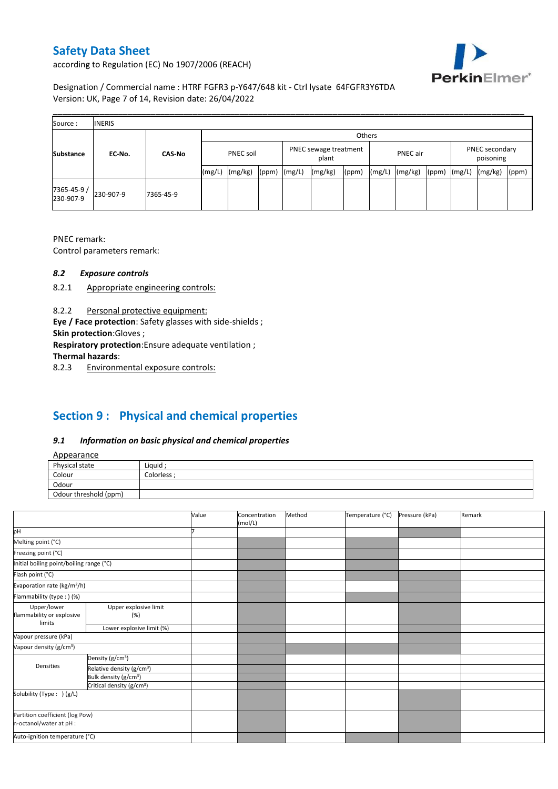

according to Regulation (EC) No 1907/2006 (REACH)

Designation / Commercial name : HTRF FGFR3 p-Y647/648 kit - Ctrl lysate 64FGFR3Y6TDA Version: UK, Page 7 of 14, Revision date: 26/04/2022

| Source:                 | <b>INERIS</b> |               |                  |         |       |                                |         |       |                 |         |       |                             |         |       |
|-------------------------|---------------|---------------|------------------|---------|-------|--------------------------------|---------|-------|-----------------|---------|-------|-----------------------------|---------|-------|
|                         |               |               | Others           |         |       |                                |         |       |                 |         |       |                             |         |       |
| <b>Substance</b>        | EC-No.        | <b>CAS-No</b> | <b>PNEC soil</b> |         |       | PNEC sewage treatment<br>plant |         |       | <b>PNEC</b> air |         |       | PNEC secondary<br>poisoning |         |       |
|                         |               |               | (mg/L)           | (mg/kg) | (ppm) | (mg/L)                         | (mg/kg) | (ppm) | (mg/L)          | (mg/kg) | (ppm) | (mg/L)                      | (mg/kg) | (ppm) |
| 7365-45-9/<br>230-907-9 | 230-907-9     | 7365-45-9     |                  |         |       |                                |         |       |                 |         |       |                             |         |       |

PNEC remark:

Control parameters remark:

### *8.2 Exposure controls*

- 8.2.1 Appropriate engineering controls:
- 8.2.2 Personal protective equipment:

**Eye / Face protection**: Safety glasses with side-shields ;

**Skin protection**:Gloves ;

**Respiratory protection**:Ensure adequate ventilation ;

**Thermal hazards**:

8.2.3 Environmental exposure controls:

# **Section 9 : Physical and chemical properties**

### *9.1 Information on basic physical and chemical properties*

|--|

| <b>Appearance</b>                                      |            |
|--------------------------------------------------------|------------|
| Physical state                                         | Liquid     |
| Colour<br>the control of the control of the control of | Colorless: |
| Odour                                                  |            |
| Odour threshold (ppm)                                  |            |

|                                          |                                       |  | Concentration<br>(mol/L) | Method | Temperature (°C) | Pressure (kPa) | Remark |
|------------------------------------------|---------------------------------------|--|--------------------------|--------|------------------|----------------|--------|
| pH                                       |                                       |  |                          |        |                  |                |        |
| Melting point (°C)                       |                                       |  |                          |        |                  |                |        |
| Freezing point (°C)                      |                                       |  |                          |        |                  |                |        |
| Initial boiling point/boiling range (°C) |                                       |  |                          |        |                  |                |        |
| Flash point (°C)                         |                                       |  |                          |        |                  |                |        |
| Evaporation rate (kg/m <sup>2</sup> /h)  |                                       |  |                          |        |                  |                |        |
| Flammability (type:) (%)                 |                                       |  |                          |        |                  |                |        |
| Upper/lower<br>flammability or explosive | Upper explosive limit<br>(%)          |  |                          |        |                  |                |        |
| limits                                   | Lower explosive limit (%)             |  |                          |        |                  |                |        |
| Vapour pressure (kPa)                    |                                       |  |                          |        |                  |                |        |
| Vapour density (g/cm <sup>3</sup> )      |                                       |  |                          |        |                  |                |        |
|                                          | Density (g/cm <sup>3</sup> )          |  |                          |        |                  |                |        |
| Densities                                | Relative density (g/cm <sup>3</sup> ) |  |                          |        |                  |                |        |
|                                          | Bulk density (g/cm <sup>3</sup> )     |  |                          |        |                  |                |        |
|                                          | Critical density (g/cm <sup>3</sup> ) |  |                          |        |                  |                |        |
| Solubility (Type: ) (g/L)                |                                       |  |                          |        |                  |                |        |
| n-octanol/water at pH :                  | Partition coefficient (log Pow)       |  |                          |        |                  |                |        |
| Auto-ignition temperature (°C)           |                                       |  |                          |        |                  |                |        |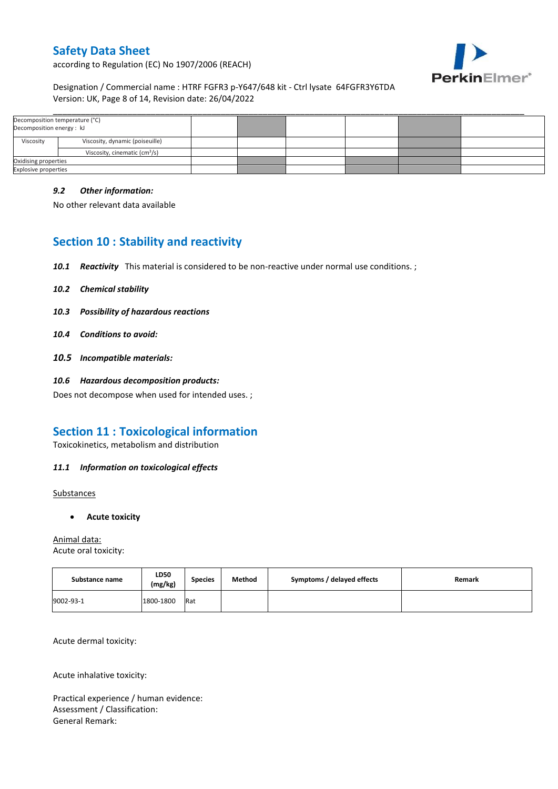

according to Regulation (EC) No 1907/2006 (REACH)

### Designation / Commercial name : HTRF FGFR3 p-Y647/648 kit - Ctrl lysate 64FGFR3Y6TDA Version: UK, Page 8 of 14, Revision date: 26/04/2022

| Decomposition temperature (°C)<br>Decomposition energy : kJ |                                           |  |  |  |
|-------------------------------------------------------------|-------------------------------------------|--|--|--|
|                                                             |                                           |  |  |  |
| Viscosity                                                   | Viscosity, dynamic (poiseuille)           |  |  |  |
|                                                             | Viscosity, cinematic (cm <sup>3</sup> /s) |  |  |  |
| Oxidising properties                                        |                                           |  |  |  |
| <b>Explosive properties</b>                                 |                                           |  |  |  |

### *9.2 Other information:*

No other relevant data available

## **Section 10 : Stability and reactivity**

- *10.1 Reactivity* This material is considered to be non-reactive under normal use conditions. ;
- *10.2 Chemical stability*
- *10.3 Possibility of hazardous reactions*
- *10.4 Conditions to avoid:*
- *10.5 Incompatible materials:*
- *10.6 Hazardous decomposition products:*

Does not decompose when used for intended uses. ;

## **Section 11 : Toxicological information**

Toxicokinetics, metabolism and distribution

### *11.1 Information on toxicological effects*

**Substances** 

**Acute toxicity**

Animal data: Acute oral toxicity:

| Substance name | LD50<br>(mg/kg) | <b>Species</b> | Method | Symptoms / delayed effects | Remark |
|----------------|-----------------|----------------|--------|----------------------------|--------|
| 9002-93-1      | 1800-1800       | Rat            |        |                            |        |

Acute dermal toxicity:

Acute inhalative toxicity:

Practical experience / human evidence: Assessment / Classification: General Remark: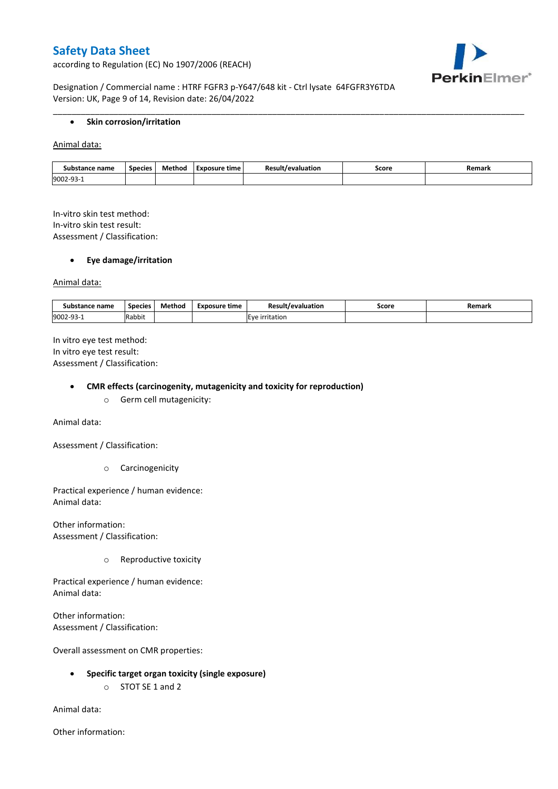according to Regulation (EC) No 1907/2006 (REACH)



Designation / Commercial name : HTRF FGFR3 p-Y647/648 kit - Ctrl lysate 64FGFR3Y6TDA Version: UK, Page 9 of 14, Revision date: 26/04/2022

#### **•** Skin corrosion/irritation

Animal data:

| Substance name | <b>Species</b> | Method | Exposure time | evaluation<br>$\sim$ | Score | Remark |
|----------------|----------------|--------|---------------|----------------------|-------|--------|
| 9002-93        |                |        |               |                      |       |        |

\_\_\_\_\_\_\_\_\_\_\_\_\_\_\_\_\_\_\_\_\_\_\_\_\_\_\_\_\_\_\_\_\_\_\_\_\_\_\_\_\_\_\_\_\_\_\_\_\_\_\_\_\_\_\_\_\_\_\_\_\_\_\_\_\_\_\_\_\_\_\_\_\_\_\_\_\_\_\_\_\_\_\_\_\_\_\_\_\_\_\_\_\_\_\_\_\_\_\_\_\_

In-vitro skin test method: In-vitro skin test result: Assessment / Classification:

#### **Eye damage/irritation**

Animal data:

| : name<br>substance | <b>Species</b> | $ -$<br>Method | <b>Exposure time</b> | Result/evaluation | Score | Remark |
|---------------------|----------------|----------------|----------------------|-------------------|-------|--------|
| 9002-93-1           | .<br>Rabbit    |                |                      | irritation        |       |        |

In vitro eye test method: In vitro eye test result: Assessment / Classification:

#### **CMR effects (carcinogenity, mutagenicity and toxicity for reproduction)**

o Germ cell mutagenicity:

Animal data:

Assessment / Classification:

o Carcinogenicity

Practical experience / human evidence: Animal data:

Other information: Assessment / Classification:

o Reproductive toxicity

Practical experience / human evidence: Animal data:

Other information: Assessment / Classification:

Overall assessment on CMR properties:

- **Specific target organ toxicity (single exposure)**
	- o STOT SE 1 and 2

Animal data:

Other information: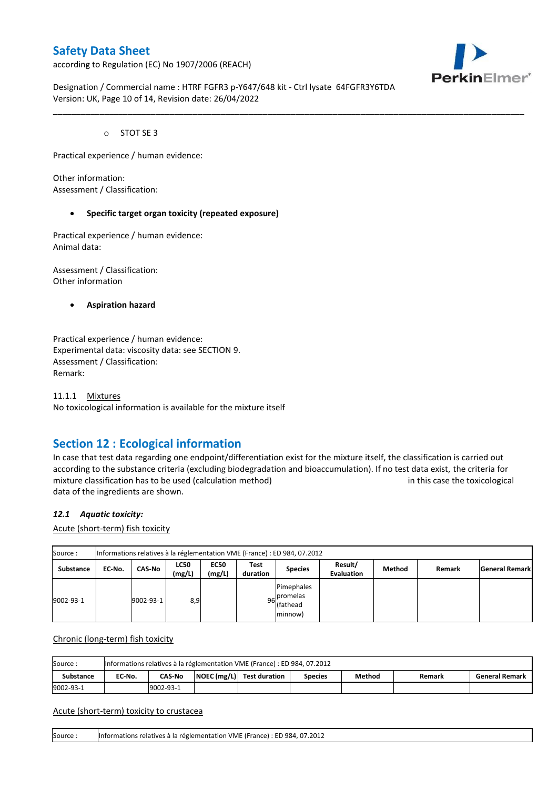according to Regulation (EC) No 1907/2006 (REACH)



Designation / Commercial name : HTRF FGFR3 p-Y647/648 kit - Ctrl lysate 64FGFR3Y6TDA Version: UK, Page 10 of 14, Revision date: 26/04/2022

\_\_\_\_\_\_\_\_\_\_\_\_\_\_\_\_\_\_\_\_\_\_\_\_\_\_\_\_\_\_\_\_\_\_\_\_\_\_\_\_\_\_\_\_\_\_\_\_\_\_\_\_\_\_\_\_\_\_\_\_\_\_\_\_\_\_\_\_\_\_\_\_\_\_\_\_\_\_\_\_\_\_\_\_\_\_\_\_\_\_\_\_\_\_\_\_\_\_\_\_\_

o STOT SE 3

Practical experience / human evidence:

Other information: Assessment / Classification:

#### **Specific target organ toxicity (repeated exposure)**

Practical experience / human evidence: Animal data:

Assessment / Classification: Other information

**Aspiration hazard**

Practical experience / human evidence: Experimental data: viscosity data: see SECTION 9. Assessment / Classification: Remark:

11.1.1 Mixtures No toxicological information is available for the mixture itself

## **Section 12 : Ecological information**

In case that test data regarding one endpoint/differentiation exist for the mixture itself, the classification is carried out according to the substance criteria (excluding biodegradation and bioaccumulation). If no test data exist, the criteria for mixture classification has to be used (calculation method) in this case the toxicological data of the ingredients are shown.

#### *12.1 Aquatic toxicity:*

Acute (short-term) fish toxicity

| Source:          | Informations relatives à la réglementation VME (France) : ED 984, 07.2012 |               |                       |                       |                  |                                                  |                              |        |        |                       |  |  |  |
|------------------|---------------------------------------------------------------------------|---------------|-----------------------|-----------------------|------------------|--------------------------------------------------|------------------------------|--------|--------|-----------------------|--|--|--|
| <b>Substance</b> | EC-No.                                                                    | <b>CAS-No</b> | <b>LC50</b><br>(mg/L) | <b>EC50</b><br>(mg/L) | Test<br>duration | <b>Species</b>                                   | Result/<br><b>Evaluation</b> | Method | Remark | <b>General Remark</b> |  |  |  |
| 9002-93-1        |                                                                           | 9002-93-1     | 8,9                   |                       |                  | Pimephales<br>96 promelas<br>(fathead<br>minnow) |                              |        |        |                       |  |  |  |

Chronic (long-term) fish toxicity

| Source:          | Informations relatives à la réglementation VME (France) : ED 984, 07.2012 |                                                                                                    |  |  |  |  |  |  |  |  |  |  |
|------------------|---------------------------------------------------------------------------|----------------------------------------------------------------------------------------------------|--|--|--|--|--|--|--|--|--|--|
| <b>Substance</b> | EC No.                                                                    | NOEC (mg/L) Test duration<br>Method<br><b>CAS-No</b><br><b>General Remark</b><br>Species<br>Remark |  |  |  |  |  |  |  |  |  |  |
| 9002-93-1        |                                                                           | 9002-93-1                                                                                          |  |  |  |  |  |  |  |  |  |  |

#### Acute (short-term) toxicity to crustacea

Source : Informations relatives à la réglementation VME (France) : ED 984, 07.2012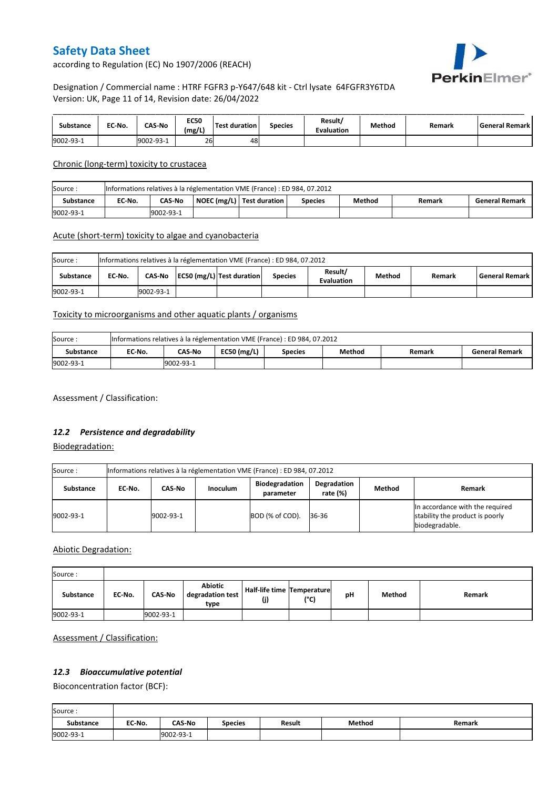

according to Regulation (EC) No 1907/2006 (REACH)

### Designation / Commercial name : HTRF FGFR3 p-Y647/648 kit - Ctrl lysate 64FGFR3Y6TDA Version: UK, Page 11 of 14, Revision date: 26/04/2022

| Substance | EC-No. | <b>CAS-No</b> | <b>EC50</b><br>(mg/L) | <b>Test duration</b> | <b>Species</b> | Result/<br><b>Evaluation</b> | Method | Remark | l General Remark l |
|-----------|--------|---------------|-----------------------|----------------------|----------------|------------------------------|--------|--------|--------------------|
| 9002-93-1 |        | 9002-93-1     | 26                    | 48                   |                |                              |        |        |                    |

Chronic (long-term) toxicity to crustacea

| Source:   | Informations relatives à la réglementation VME (France) : ED 984, 07.2012 |                                                                                                           |  |  |  |  |  |  |  |  |  |  |
|-----------|---------------------------------------------------------------------------|-----------------------------------------------------------------------------------------------------------|--|--|--|--|--|--|--|--|--|--|
| Substance | EC-No.                                                                    | NOEC (mg/L) Test duration<br>Method<br><b>CAS No</b><br><b>General Remark</b><br><b>Species</b><br>Remark |  |  |  |  |  |  |  |  |  |  |
| 9002-93-1 |                                                                           | 9002-93-1                                                                                                 |  |  |  |  |  |  |  |  |  |  |

### Acute (short-term) toxicity to algae and cyanobacteria

| Source:<br>Informations relatives à la réglementation VME (France) : ED 984, 07.2012 |                                                                                                                                              |           |  |  |  |  |  |  |  |  |  |
|--------------------------------------------------------------------------------------|----------------------------------------------------------------------------------------------------------------------------------------------|-----------|--|--|--|--|--|--|--|--|--|
| Substance                                                                            | Result/<br>EC50 (mg/L) Test duration<br><b>General Remark</b><br>CAS-No<br>Method<br>EC No.<br><b>Species</b><br>Remark<br><b>Evaluation</b> |           |  |  |  |  |  |  |  |  |  |
| 9002-93-1                                                                            |                                                                                                                                              | 9002-93-1 |  |  |  |  |  |  |  |  |  |

### Toxicity to microorganisms and other aquatic plants / organisms

| Source:   | Informations relatives à la réglementation VME (France) : ED 984, 07.2012 |           |               |                |        |        |                       |  |  |
|-----------|---------------------------------------------------------------------------|-----------|---------------|----------------|--------|--------|-----------------------|--|--|
| Substance | EC-No.                                                                    | CAS-No    | $EC50$ (mg/L) | <b>Species</b> | Method | Remark | <b>General Remark</b> |  |  |
| 9002-93-1 |                                                                           | 9002-93-1 |               |                |        |        |                       |  |  |

Assessment / Classification:

### *12.2 Persistence and degradability*

Biodegradation:

| Source:   | Informations relatives à la réglementation VME (France) : ED 984, 07.2012 |           |                 |                                    |                            |        |                                                                                      |  |  |
|-----------|---------------------------------------------------------------------------|-----------|-----------------|------------------------------------|----------------------------|--------|--------------------------------------------------------------------------------------|--|--|
| Substance | EC No.                                                                    | CAS-No    | <b>Inoculum</b> | <b>Biodegradation</b><br>parameter | Degradation<br>rate $(\%)$ | Method | Remark                                                                               |  |  |
| 9002-93-1 |                                                                           | 9002-93-1 |                 | BOD (% of COD).                    | 36-36                      |        | In accordance with the required<br>stability the product is poorly<br>biodegradable. |  |  |

Abiotic Degradation:

| Source:   |        |               |                                            |                                       |      |    |        |        |
|-----------|--------|---------------|--------------------------------------------|---------------------------------------|------|----|--------|--------|
| Substance | EC-No. | <b>CAS-No</b> | <b>Abiotic</b><br>degradation test<br>type | Half-life time   Temperature  <br>(j) | (°C) | рH | Method | Remark |
| 9002-93-1 |        | 9002-93-1     |                                            |                                       |      |    |        |        |

Assessment / Classification:

### *12.3 Bioaccumulative potential*

Bioconcentration factor (BCF):

Ē

| Source:   |        |               |                |               |        |        |
|-----------|--------|---------------|----------------|---------------|--------|--------|
| Substance | EC No. | <b>CAS-No</b> | <b>Species</b> | <b>Result</b> | Method | Remark |
| 9002-93-1 |        | 9002-93-1     |                |               |        |        |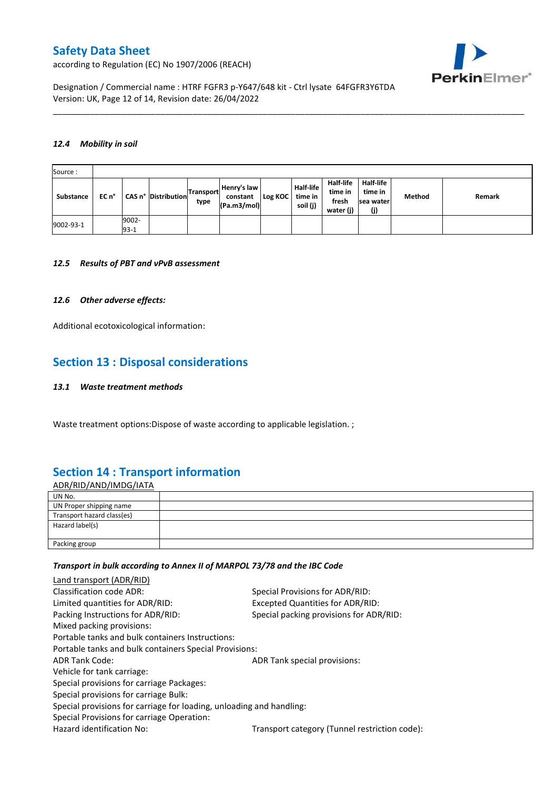PerkinElmer®

according to Regulation (EC) No 1907/2006 (REACH)

Designation / Commercial name : HTRF FGFR3 p-Y647/648 kit - Ctrl lysate 64FGFR3Y6TDA Version: UK, Page 12 of 14, Revision date: 26/04/2022

#### *12.4 Mobility in soil*

| Source:   |       |                 |                     |                          |                                        |           |                                         |                                            |                                                 |        |        |
|-----------|-------|-----------------|---------------------|--------------------------|----------------------------------------|-----------|-----------------------------------------|--------------------------------------------|-------------------------------------------------|--------|--------|
| Substance | EC n° |                 | CAS n° Distribution | <b>Transport</b><br>type | Henry's law<br>constant<br>(Pa.m3/mol) | Log KOC I | <b>Half-life</b><br>time in<br>soil (j) | Half-life<br>time in<br>fresh<br>water (j) | <b>Half-life</b><br>time in<br>sea water<br>(j) | Method | Remark |
| 9002-93-1 |       | 9002-<br>$93-1$ |                     |                          |                                        |           |                                         |                                            |                                                 |        |        |

\_\_\_\_\_\_\_\_\_\_\_\_\_\_\_\_\_\_\_\_\_\_\_\_\_\_\_\_\_\_\_\_\_\_\_\_\_\_\_\_\_\_\_\_\_\_\_\_\_\_\_\_\_\_\_\_\_\_\_\_\_\_\_\_\_\_\_\_\_\_\_\_\_\_\_\_\_\_\_\_\_\_\_\_\_\_\_\_\_\_\_\_\_\_\_\_\_\_\_\_\_

#### *12.5 Results of PBT and vPvB assessment*

#### *12.6 Other adverse effects:*

Additional ecotoxicological information:

## **Section 13 : Disposal considerations**

#### *13.1 Waste treatment methods*

Waste treatment options:Dispose of waste according to applicable legislation. ;

## **Section 14 : Transport information**

| <u>ADR/RID/AND/IMDG/IATA</u> |  |
|------------------------------|--|
| UN No.                       |  |
| UN Proper shipping name      |  |
| Transport hazard class(es)   |  |
| Hazard label(s)              |  |
|                              |  |
| Packing group                |  |

#### *Transport in bulk according to Annex II of MARPOL 73/78 and the IBC Code*

| Land transport (ADR/RID)                                             |                                               |
|----------------------------------------------------------------------|-----------------------------------------------|
| Classification code ADR:                                             | Special Provisions for ADR/RID:               |
| Limited quantities for ADR/RID:                                      | Excepted Quantities for ADR/RID:              |
| Packing Instructions for ADR/RID:                                    | Special packing provisions for ADR/RID:       |
| Mixed packing provisions:                                            |                                               |
| Portable tanks and bulk containers Instructions:                     |                                               |
| Portable tanks and bulk containers Special Provisions:               |                                               |
| <b>ADR Tank Code:</b>                                                | ADR Tank special provisions:                  |
| Vehicle for tank carriage:                                           |                                               |
| Special provisions for carriage Packages:                            |                                               |
| Special provisions for carriage Bulk:                                |                                               |
| Special provisions for carriage for loading, unloading and handling: |                                               |
| Special Provisions for carriage Operation:                           |                                               |
| Hazard identification No:                                            | Transport category (Tunnel restriction code): |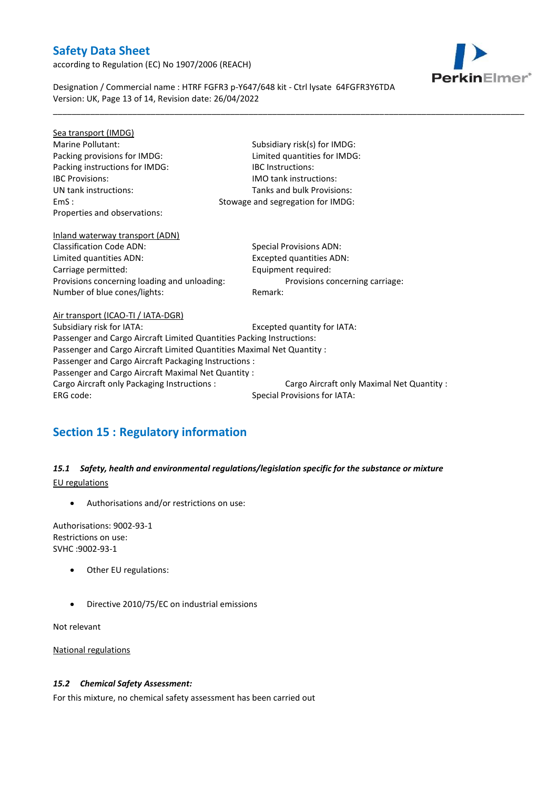according to Regulation (EC) No 1907/2006 (REACH)



Designation / Commercial name : HTRF FGFR3 p-Y647/648 kit - Ctrl lysate 64FGFR3Y6TDA Version: UK, Page 13 of 14, Revision date: 26/04/2022

\_\_\_\_\_\_\_\_\_\_\_\_\_\_\_\_\_\_\_\_\_\_\_\_\_\_\_\_\_\_\_\_\_\_\_\_\_\_\_\_\_\_\_\_\_\_\_\_\_\_\_\_\_\_\_\_\_\_\_\_\_\_\_\_\_\_\_\_\_\_\_\_\_\_\_\_\_\_\_\_\_\_\_\_\_\_\_\_\_\_\_\_\_\_\_\_\_\_\_\_\_

| Sea transport (IMDG)                                                   |                                            |  |  |  |
|------------------------------------------------------------------------|--------------------------------------------|--|--|--|
| Marine Pollutant:                                                      | Subsidiary risk(s) for IMDG:               |  |  |  |
| Packing provisions for IMDG:                                           | Limited quantities for IMDG:               |  |  |  |
| Packing instructions for IMDG:                                         | <b>IBC</b> Instructions:                   |  |  |  |
| <b>IBC Provisions:</b>                                                 | <b>IMO tank instructions:</b>              |  |  |  |
| UN tank instructions:                                                  | Tanks and bulk Provisions:                 |  |  |  |
| EmS:                                                                   | Stowage and segregation for IMDG:          |  |  |  |
| Properties and observations:                                           |                                            |  |  |  |
|                                                                        |                                            |  |  |  |
| Inland waterway transport (ADN)                                        |                                            |  |  |  |
| <b>Classification Code ADN:</b>                                        | <b>Special Provisions ADN:</b>             |  |  |  |
| Limited quantities ADN:                                                | <b>Excepted quantities ADN:</b>            |  |  |  |
| Carriage permitted:                                                    | Equipment required:                        |  |  |  |
| Provisions concerning loading and unloading:                           | Provisions concerning carriage:            |  |  |  |
| Number of blue cones/lights:                                           | Remark:                                    |  |  |  |
|                                                                        |                                            |  |  |  |
| Air transport (ICAO-TI / IATA-DGR)                                     |                                            |  |  |  |
| Subsidiary risk for IATA:                                              | Excepted quantity for IATA:                |  |  |  |
| Passenger and Cargo Aircraft Limited Quantities Packing Instructions:  |                                            |  |  |  |
| Passenger and Cargo Aircraft Limited Quantities Maximal Net Quantity : |                                            |  |  |  |
| Passenger and Cargo Aircraft Packaging Instructions :                  |                                            |  |  |  |
| Passenger and Cargo Aircraft Maximal Net Quantity :                    |                                            |  |  |  |
| Cargo Aircraft only Packaging Instructions :                           | Cargo Aircraft only Maximal Net Quantity : |  |  |  |
| ERG code:                                                              | <b>Special Provisions for IATA:</b>        |  |  |  |
|                                                                        |                                            |  |  |  |

# **Section 15 : Regulatory information**

### *15.1 Safety, health and environmental regulations/legislation specific for the substance or mixture* EU regulations

Authorisations and/or restrictions on use:

Authorisations: 9002-93-1 Restrictions on use: SVHC :9002-93-1

- Other EU regulations:
- Directive 2010/75/EC on industrial emissions

Not relevant

National regulations

### *15.2 Chemical Safety Assessment:*

For this mixture, no chemical safety assessment has been carried out